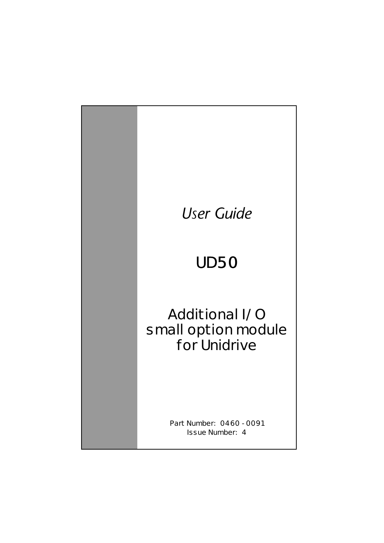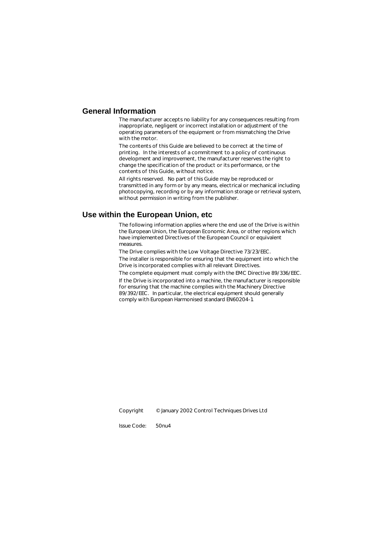### **General Information**

The manufacturer accepts no liability for any consequences resulting from inappropriate, negligent or incorrect installation or adjustment of the operating parameters of the equipment or from mismatching the Drive with the motor.

The contents of this Guide are believed to be correct at the time of printing. In the interests of a commitment to a policy of continuous development and improvement, the manufacturer reserves the right to change the specification of the product or its performance, or the contents of this Guide, without notice.

All rights reserved. No part of this Guide may be reproduced or transmitted in any form or by any means, electrical or mechanical including photocopying, recording or by any information storage or retrieval system, without permission in writing from the publisher.

### **Use within the European Union, etc**

The following information applies where the end use of the Drive is within the European Union, the European Economic Area, or other regions which have implemented Directives of the European Council or equivalent measures.

The Drive complies with the Low Voltage Directive 73/23/EEC.

The installer is responsible for ensuring that the equipment into which the Drive is incorporated complies with all relevant Directives.

The complete equipment must comply with the EMC Directive 89/336/EEC. If the Drive is incorporated into a machine, the manufacturer is responsible for ensuring that the machine complies with the Machinery Directive 89/392/EEC. In particular, the electrical equipment should generally comply with European Harmonised standard EN60204-1.

Copyright © January 2002 Control Techniques Drives Ltd

Issue Code: 50nu4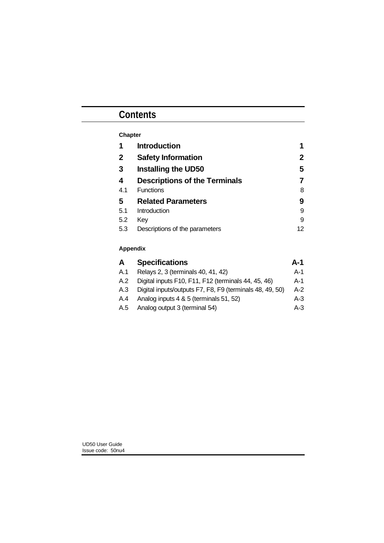# **Contents**

| <b>Chapter</b> |                                      |    |
|----------------|--------------------------------------|----|
| 1              | <b>Introduction</b>                  | 1  |
| 2              | <b>Safety Information</b>            | 2  |
| 3              | <b>Installing the UD50</b>           | 5  |
| 4              | <b>Descriptions of the Terminals</b> | 7  |
| 4.1            | <b>Functions</b>                     | 8  |
| 5              | <b>Related Parameters</b>            | 9  |
| 5.1            | Introduction                         | 9  |
| 5.2            | Key                                  | 9  |
| 5.3            | Descriptions of the parameters       | 12 |
|                |                                      |    |

## **Appendix**

| A   | <b>Specifications</b>                                    | $A-1$ |
|-----|----------------------------------------------------------|-------|
| A.1 | Relays 2, 3 (terminals 40, 41, 42)                       | $A-1$ |
| A.2 | Digital inputs F10, F11, F12 (terminals 44, 45, 46)      | $A-1$ |
| A.3 | Digital inputs/outputs F7, F8, F9 (terminals 48, 49, 50) | $A-2$ |
| A.4 | Analog inputs 4 & 5 (terminals 51, 52)                   | $A-3$ |
| A.5 | Analog output 3 (terminal 54)                            | $A-3$ |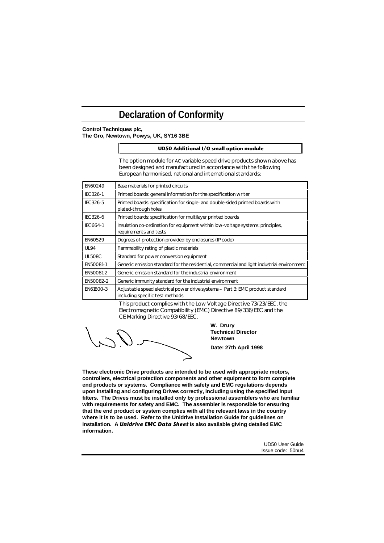# **Declaration of Conformity**

#### **Control Techniques plc, The Gro, Newtown, Powys, UK, SY16 3BE**

#### **UD50 Additional I/O small option module**

The option module for AC variable speed drive products shown above has been designed and manufactured in accordance with the following European harmonised, national and international standards:

| EN60249         | Base materials for printed circuits                                                                               |
|-----------------|-------------------------------------------------------------------------------------------------------------------|
| <b>IEC326-1</b> | Printed boards: general information for the specification writer                                                  |
| IEC326-5        | Printed boards: specification for single- and double-sided printed boards with<br>plated-through holes            |
| IEC326-6        | Printed boards: specification for multilayer printed boards                                                       |
| <b>IEC664-1</b> | Insulation co-ordination for equipment within low-voltage systems: principles,<br>requirements and tests          |
| EN60529         | Degrees of protection provided by enclosures (IP code)                                                            |
| <b>UL94</b>     | Flammability rating of plastic materials                                                                          |
| <b>UL508C</b>   | Standard for power conversion equipment                                                                           |
| EN50081-1       | Generic emission standard for the residential, commercial and light industrial environment                        |
| EN50081-2       | Generic emission standard for the industrial environment                                                          |
| EN50082-2       | Generic immunity standard for the industrial environment                                                          |
| EN61800-3       | Adjustable speed electrical power drive systems - Part 3: EMC product standard<br>including specific test methods |

This product complies with the Low Voltage Directive 73/23/EEC, the Electromagnetic Compatibility (EMC) Directive 89/336/EEC and the CE Marking Directive 93/68/EEC.

**W. Drury Technical Director Newtown Date: 27th April 1998**

**These electronic Drive products are intended to be used with appropriate motors, controllers, electrical protection components and other equipment to form complete end products or systems. Compliance with safety and EMC regulations depends upon installing and configuring Drives correctly, including using the specified input filters. The Drives must be installed only by professional assemblers who are familiar with requirements for safety and EMC. The assembler is responsible for ensuring that the end product or system complies with all the relevant laws in the country where it is to be used. Refer to the Unidrive Installation Guide for guidelines on installation. A** *Unidrive EMC Data Sheet* **is also available giving detailed EMC information.**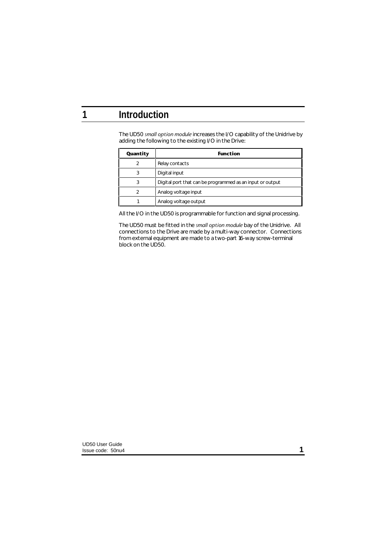# **1 Introduction**

The UD50 *small option module* increases the I/O capability of the Unidrive by adding the following to the existing I/O in the Drive:

| Quantity | <b>Function</b>                                           |
|----------|-----------------------------------------------------------|
| 2        | Relay contacts                                            |
| 3        | Digital input                                             |
| 3        | Digital port that can be programmed as an input or output |
| っ        | Analog voltage input                                      |
|          | Analog voltage output                                     |

All the I/O in the UD50 is programmable for function and signal processing.

The UD50 must be fitted in the *small option module* bay of the Unidrive. All connections to the Drive are made by a multi-way connector. Connections from external equipment are made to a two-part 16-way screw-terminal block on the UD50.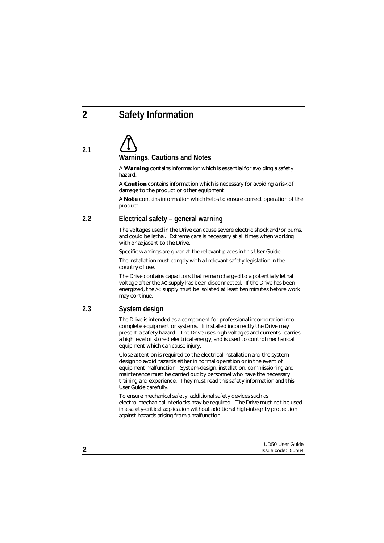# **2 Safety Information**

# **2.1 Warnings, Cautions and Notes**

A **Warning** contains information which is essential for avoiding a safety hazard.

A **Caution** contains information which is necessary for avoiding a risk of damage to the product or other equipment.

A **Note** contains information which helps to ensure correct operation of the product.

## **2.2 Electrical safety – general warning**

The voltages used in the Drive can cause severe electric shock and/or burns, and could be lethal. Extreme care is necessary at all times when working with or adjacent to the Drive.

Specific warnings are given at the relevant places in this User Guide.

The installation must comply with all relevant safety legislation in the country of use.

The Drive contains capacitors that remain charged to a potentially lethal voltage after the AC supply has been disconnected. If the Drive has been energized, the AC supply must be isolated at least ten minutes before work may continue.

## **2.3 System design**

The Drive is intended as a component for professional incorporation into complete equipment or systems. If installed incorrectly the Drive may present a safety hazard. The Drive uses high voltages and currents, carries a high level of stored electrical energy, and is used to control mechanical equipment which can cause injury.

Close attention is required to the electrical installation and the systemdesign to avoid hazards either in normal operation or in the event of equipment malfunction. System-design, installation, commissioning and maintenance must be carried out by personnel who have the necessary training and experience. They must read this safety information and this User Guide carefully.

To ensure mechanical safety, additional safety devices such as electro-mechanical interlocks may be required. The Drive must not be used in a safety-critical application without additional high-integrity protection against hazards arising from a malfunction.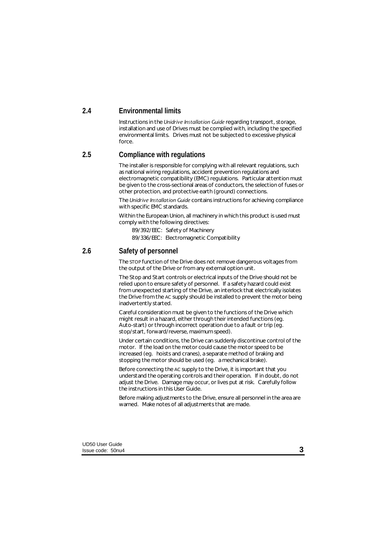### **2.4 Environmental limits**

Instructions in the *Unidrive Installation Guide* regarding transport, storage, installation and use of Drives must be complied with, including the specified environmental limits. Drives must not be subjected to excessive physical force.

### **2.5 Compliance with regulations**

The installer is responsible for complying with all relevant regulations, such as national wiring regulations, accident prevention regulations and electromagnetic compatibility (EMC) regulations. Particular attention must be given to the cross-sectional areas of conductors, the selection of fuses or other protection, and protective earth (ground) connections.

The *Unidrive Installation Guide* contains instructions for achieving compliance with specific EMC standards.

Within the European Union, all machinery in which this product is used must comply with the following directives:

89/392/EEC: Safety of Machinery

89/336/EEC: Electromagnetic Compatibility

## **2.6 Safety of personnel**

The STOP function of the Drive does not remove dangerous voltages from the output of the Drive or from any external option unit.

The Stop and Start controls or electrical inputs of the Drive should not be relied upon to ensure safety of personnel. If a safety hazard could exist from unexpected starting of the Drive, an interlock that electrically isolates the Drive from the AC supply should be installed to prevent the motor being inadvertently started.

Careful consideration must be given to the functions of the Drive which might result in a hazard, either through their intended functions (eg. Auto-start) or through incorrect operation due to a fault or trip (eg. stop/start, forward/reverse, maximum speed).

Under certain conditions, the Drive can suddenly discontinue control of the motor. If the load on the motor could cause the motor speed to be increased (eg. hoists and cranes), a separate method of braking and stopping the motor should be used (eg. a mechanical brake).

Before connecting the AC supply to the Drive, it is important that you understand the operating controls and their operation. If in doubt, do not adjust the Drive. Damage may occur, or lives put at risk. Carefully follow the instructions in this User Guide.

Before making adjustments to the Drive, ensure all personnel in the area are warned. Make notes of all adjustments that are made.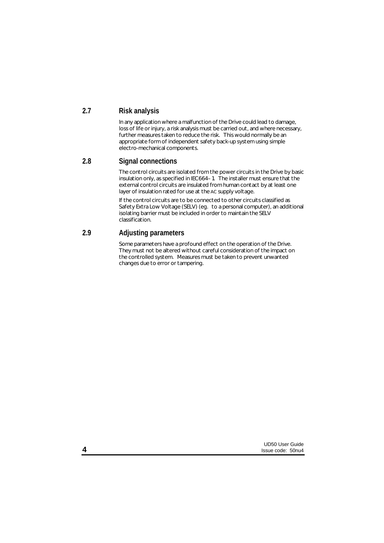### **2.7 Risk analysis**

In any application where a malfunction of the Drive could lead to damage, loss of life or injury, a risk analysis must be carried out, and where necessary, further measures taken to reduce the risk. This would normally be an appropriate form of independent safety back-up system using simple electro-mechanical components.

### **2.8 Signal connections**

The control circuits are isolated from the power circuits in the Drive by basic insulation only, as specified in IEC664–1. The installer must ensure that the external control circuits are insulated from human contact by at least one layer of insulation rated for use at the AC supply voltage.

If the control circuits are to be connected to other circuits classified as Safety Extra Low Voltage (SELV) (eg. to a personal computer), an additional isolating barrier must be included in order to maintain the SELV classification.

## **2.9 Adjusting parameters**

Some parameters have a profound effect on the operation of the Drive. They must not be altered without careful consideration of the impact on the controlled system. Measures must be taken to prevent unwanted changes due to error or tampering.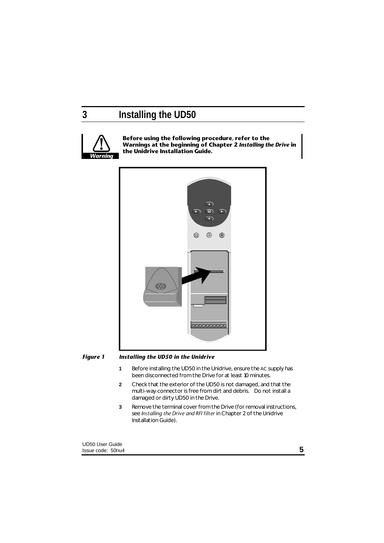# **3 Installing the UD50**



**Before using the following procedure, refer to the Warnings at the beginning of Chapter 2** *Installing the Drive* **in the Unidrive Installation Guide.**



#### *Figure 1 Installing the UD50 in the Unidrive*

- **1** Before installing the UD50 in the Unidrive, ensure the AC supply has been disconnected from the Drive for at least 10 minutes.
- **2** Check that the exterior of the UD50 is not damaged, and that the multi-way connector is free from dirt and debris. Do not install a damaged or dirty UD50 in the Drive.
- **3** Remove the terminal cover from the Drive (for removal instructions, see *Installing the Drive and RFI filter* in Chapter 2 of the Unidrive Installation Guide).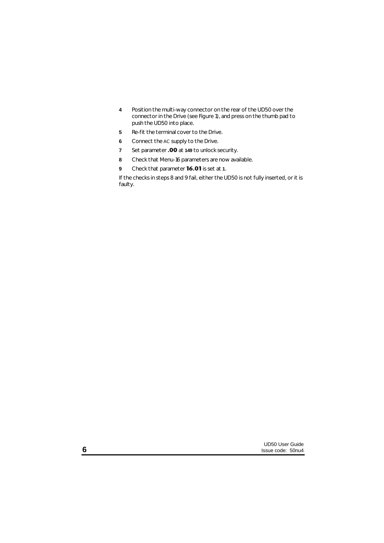- Position the multi-way connector on the rear of the UD50 over the connector in the Drive (see Figure 1), and press on the thumb pad to push the UD50 into place.
- Re-fit the terminal cover to the Drive.
- Connect the AC supply to the Drive.
- Set parameter **.00** at **149** to unlock security.
- Check that Menu-16 parameters are now available.
- Check that parameter **16.01** is set at **1**.

If the checks in steps 8 and 9 fail, either the UD50 is not fully inserted, or it is faulty.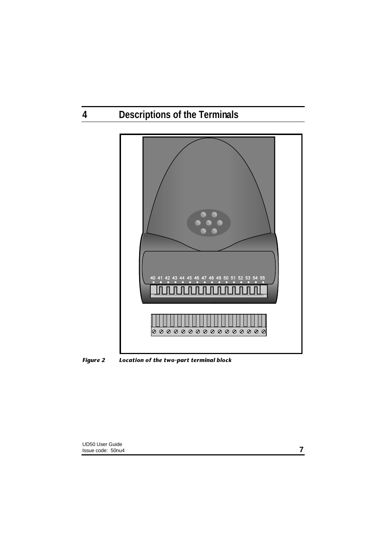# **4 Descriptions of the Terminals**



*Figure 2 Location of the two-part terminal block*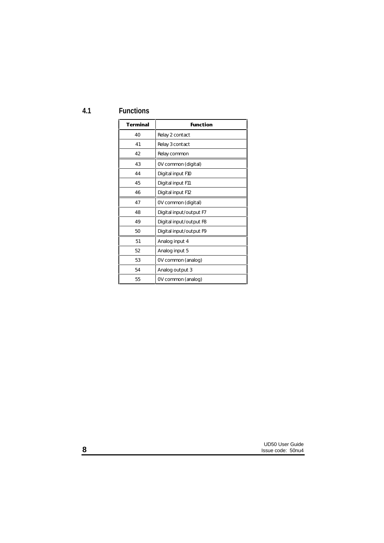**4.1 Functions**

| <b>Terminal</b> | <b>Function</b>         |
|-----------------|-------------------------|
| 40              | Relay 2 contact         |
| 41              | Relay 3 contact         |
| 42              | Relay common            |
| 43              | OV common (digital)     |
| 44              | Digital input F10       |
| 45              | Digital input F11       |
| 46              | Digital input F12       |
| 47              | OV common (digital)     |
| 48              | Digital input/output F7 |
| 49              | Digital input/output F8 |
| 50              | Digital input/output F9 |
| 51              | Analog input 4          |
| 52              | Analog input 5          |
| 53              | OV common (analog)      |
| 54              | Analog output 3         |
| 55              | OV common (analog)      |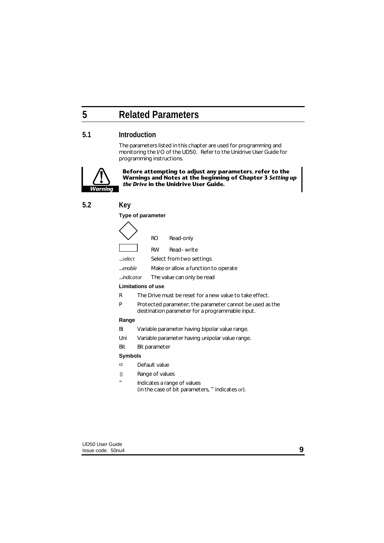# **5 Related Parameters**

### **5.1 Introduction**

The parameters listed in this chapter are used for programming and monitoring the I/O of the UD50. Refer to the Unidrive User Guide for programming instructions.



**Before attempting to adjust any parameters, refer to the Warnings and Notes at the beginning of Chapter 3** *Setting up the Drive* **in the Unidrive User Guide.**

### **5.2 Key**

#### **Type of parameter**

|        | RO | Read-only                                   |
|--------|----|---------------------------------------------|
|        | RW | Read-write                                  |
| select |    | Select from two settings                    |
| enable |    | Make or allow a function to operate         |
|        |    | <i>indicator</i> The value can only be read |

#### **Limitations of use**

- R The Drive must be reset for a new value to take effect.
- P Protected parameter; the parameter cannot be used as the destination parameter for a programmable input.

#### **Range**

- Bi Variable parameter having bipolar value range.
- Uni Variable parameter having unipolar value range.
- Bit Bit parameter

### **Symbols**

- $\Rightarrow$  Default value
- ô Range of values
	- **~** Indicates a range of values (in the case of bit parameters, **~** indicates *or*).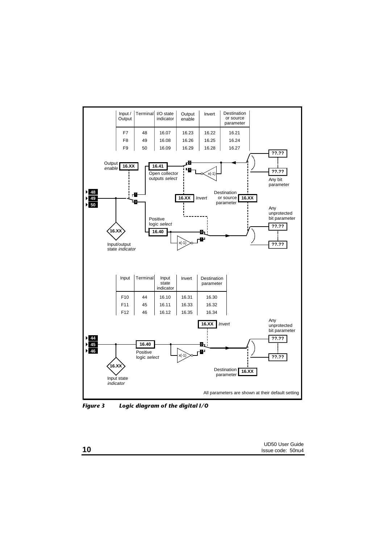

*Figure 3 Logic diagram of the digital I/O*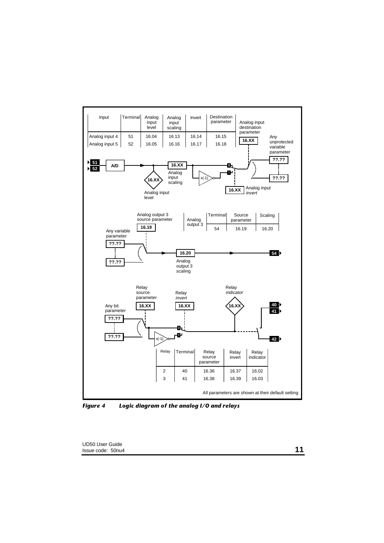

*Figure 4 Logic diagram of the analog I/O and relays*

UD50 User Guide Issue code: 50nu4 **11**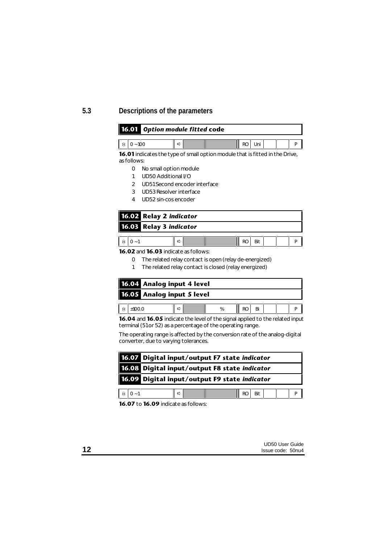## **5.3 Descriptions of the parameters**

| <b>16.01</b> Option module fitted code |  |  |  |  |     |  |  |  |  |  |
|----------------------------------------|--|--|--|--|-----|--|--|--|--|--|
| $\frac{1}{2}$ 0 ~ 100                  |  |  |  |  | Uni |  |  |  |  |  |

**16.01** indicates the type of small option module that is fitted in the Drive, as follows:

- 0 No small option module
- 1 UD50 Additional I/O
- 2 UD51 Second encoder interface
- 3 UD53 Resolver interface
- 4 UD52 sin-cos encoder

| 16.02 Relay 2 indicator |  |  |
|-------------------------|--|--|
| 16.03 Relay 3 indicator |  |  |
|                         |  |  |

**16.02** and **16.03** indicate as follows:

- 0 The related relay contact is open (relay de-energized)
- 1 The related relay contact is closed (relay energized)

| 16.04 Analog input 4 level |                            |  |   |  |    |  |  |  |  |  |
|----------------------------|----------------------------|--|---|--|----|--|--|--|--|--|
|                            | 16.05 Analog input 5 level |  |   |  |    |  |  |  |  |  |
|                            |                            |  |   |  |    |  |  |  |  |  |
| ±100.0                     |                            |  | % |  | Bi |  |  |  |  |  |

**16.04** and **16.05** indicate the level of the signal applied to the related input terminal (51 or 52) as a percentage of the operating range.

The operating range is affected by the conversion rate of the analog-digital converter, due to varying tolerances.

|                          | 16.07 Digital input/output F7 state indicator |  |  |                    |  |  |  |  |  |  |
|--------------------------|-----------------------------------------------|--|--|--------------------|--|--|--|--|--|--|
|                          | 16.08 Digital input/output F8 state indicator |  |  |                    |  |  |  |  |  |  |
|                          | 16.09 Digital input/output F9 state indicator |  |  |                    |  |  |  |  |  |  |
| $\hat{\mathbf{u}}$ 0 - 1 |                                               |  |  | $\parallel$ RO Bit |  |  |  |  |  |  |

**16.07** to **16.09** indicate as follows: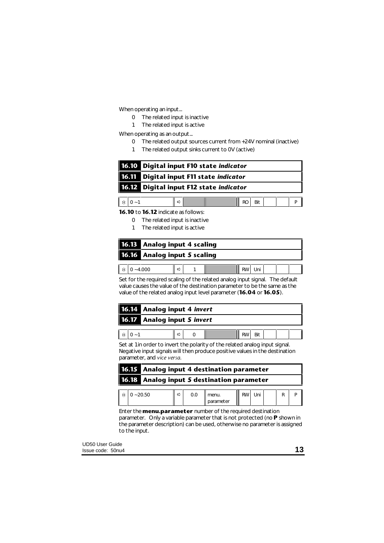When operating an input...

- 0 The related input is inactive
- 1 The related input is active

When operating as an output...

- 0 The related output sources current from +24V nominal (inactive)
- 1 The related output sinks current to 0V (active)

| 16.10 Digital input F10 state indicator |  |                    |  |  |  |  |  |  |
|-----------------------------------------|--|--------------------|--|--|--|--|--|--|
| 16.11 Digital input F11 state indicator |  |                    |  |  |  |  |  |  |
| 16.12 Digital input F12 state indicator |  |                    |  |  |  |  |  |  |
|                                         |  |                    |  |  |  |  |  |  |
| ⇨                                       |  | $\parallel$ RO Bit |  |  |  |  |  |  |

**16.10** to **16.12** indicate as follows:

- 0 The related input is inactive
- 1 The related input is active

|             | <b>16.13</b> Analog input 4 scaling |  |  |  |  |  |  |  |  |
|-------------|-------------------------------------|--|--|--|--|--|--|--|--|
|             | 16.16 Analog input 5 scaling        |  |  |  |  |  |  |  |  |
|             |                                     |  |  |  |  |  |  |  |  |
| $0 - 4.000$ |                                     |  |  |  |  |  |  |  |  |

Set for the required scaling of the related analog input signal. The default value causes the value of the destination parameter to be the same as the value of the related analog input level parameter (**16.04** or **16.05**).

|                                    | 16.14 Analog input 4 <i>invert</i> |  |  |  |  |     |  |  |  |
|------------------------------------|------------------------------------|--|--|--|--|-----|--|--|--|
| <b>16.17</b> Analog input 5 invert |                                    |  |  |  |  |     |  |  |  |
|                                    |                                    |  |  |  |  |     |  |  |  |
| $\hat{v}$   0 ~ 1                  |                                    |  |  |  |  | Bit |  |  |  |

Set at 1 in order to invert the polarity of the related analog input signal. Negative input signals will then produce positive values in the destination parameter, and *vice versa*.

| 16.15 Analog input 4 destination parameter |                                            |   |     |                    |           |  |  |  |  |
|--------------------------------------------|--------------------------------------------|---|-----|--------------------|-----------|--|--|--|--|
|                                            | 16.18 Analog input 5 destination parameter |   |     |                    |           |  |  |  |  |
|                                            | $0 - 20.50$                                | ⇨ | 0.0 | menu.<br>parameter | <b>RW</b> |  |  |  |  |

Enter the **menu.parameter** number of the required destination parameter. Only a variable parameter that is not protected (no **P** shown in the parameter description) can be used, otherwise no parameter is assigned to the input.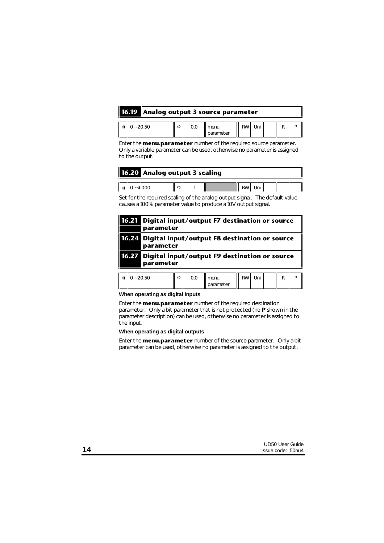| 16.19 Analog output 3 source parameter |  |  |                                                                        |  |  |  |  |  |  |  |  |
|----------------------------------------|--|--|------------------------------------------------------------------------|--|--|--|--|--|--|--|--|
|                                        |  |  |                                                                        |  |  |  |  |  |  |  |  |
| $\hat{v}$ 0 ~ 20.50                    |  |  | $\ \phi\ $ 0.0 menu. $\ \mathbf{R}\mathbf{W}\ $ Uni $\ \mathbf{R}\ $ P |  |  |  |  |  |  |  |  |

Enter the **menu.parameter** number of the required source parameter. Only a variable parameter can be used, otherwise no parameter is assigned to the output.

parameter

| 16.20 Analog output 3 scaling |                     |   |  |  |  |              |  |  |  |
|-------------------------------|---------------------|---|--|--|--|--------------|--|--|--|
|                               |                     |   |  |  |  |              |  |  |  |
|                               | $\hat{v}$ 0 ~ 4.000 | ⇨ |  |  |  | II RWI Uni I |  |  |  |

Set for the required scaling of the analog output signal. The default value causes a 100% parameter value to produce a 10V output signal.

| 16.21 | Digital input/output F7 destination or source<br>parameter       |   |     |       |           |     |  |   |   |  |  |  |
|-------|------------------------------------------------------------------|---|-----|-------|-----------|-----|--|---|---|--|--|--|
|       | 16.24 Digital input/output F8 destination or source<br>parameter |   |     |       |           |     |  |   |   |  |  |  |
|       | 16.27 Digital input/output F9 destination or source<br>parameter |   |     |       |           |     |  |   |   |  |  |  |
| Ű     | $0 - 20.50$                                                      | ⇨ | 0.0 | menu. | <b>RW</b> | Uni |  | R | р |  |  |  |

**When operating as digital inputs**

Enter the **menu.parameter** number of the required destination parameter. Only a bit parameter that is not protected (no **P** shown in the parameter description) can be used, otherwise no parameter is assigned to the input.

### **When operating as digital outputs**

Enter the **menu.parameter** number of the source parameter. Only a bit parameter can be used, otherwise no parameter is assigned to the output.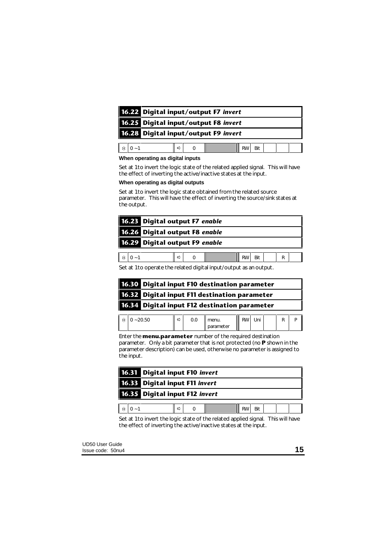|                          | 16.22 Digital input/output F7 invert |                     |  |  |  |        |  |  |  |  |
|--------------------------|--------------------------------------|---------------------|--|--|--|--------|--|--|--|--|
|                          | 16.25 Digital input/output F8 invert |                     |  |  |  |        |  |  |  |  |
|                          | 16.28 Digital input/output F9 invert |                     |  |  |  |        |  |  |  |  |
| $\hat{\mathbf{u}}$ 0 ~ 1 |                                      | $\Leftrightarrow$ 0 |  |  |  | RW Bit |  |  |  |  |

#### **When operating as digital inputs**

Set at 1 to invert the logic state of the related applied signal. This will have the effect of inverting the active/inactive states at the input.

#### **When operating as digital outputs**

Set at 1 to invert the logic state obtained from the related source parameter. This will have the effect of inverting the source/sink states at the output.

| 16.23 Digital output F7 enable |   |  |           |     |  |  |
|--------------------------------|---|--|-----------|-----|--|--|
| 16.26 Digital output F8 enable |   |  |           |     |  |  |
| 16.29 Digital output F9 enable |   |  |           |     |  |  |
|                                |   |  |           |     |  |  |
|                                | ⇨ |  | <b>RW</b> | Bit |  |  |

Set at 1 to operate the related digital input/output as an output.

| 16.30 Digital input F10 destination parameter |
|-----------------------------------------------|
| 16.32 Digital input F11 destination parameter |
| 16.34 Digital input F12 destination parameter |
|                                               |

 $\hat{v}$  0 ~ 20.50  $\|\vec{v}\|$  0.0 menu. parameter RW Uni R P Enter the **menu.parameter** number of the required destination parameter. Only a bit parameter that is not protected (no **P** shown in the

parameter description) can be used, otherwise no parameter is assigned to the input.

|                                | 16.31 Digital input F10 invert |  |  |  |  |     |  |  |  |  |
|--------------------------------|--------------------------------|--|--|--|--|-----|--|--|--|--|
| 16.33 Digital input F11 invert |                                |  |  |  |  |     |  |  |  |  |
| 16.35 Digital input F12 invert |                                |  |  |  |  |     |  |  |  |  |
|                                |                                |  |  |  |  |     |  |  |  |  |
|                                |                                |  |  |  |  | Bit |  |  |  |  |

Set at 1 to invert the logic state of the related applied signal. This will have the effect of inverting the active/inactive states at the input.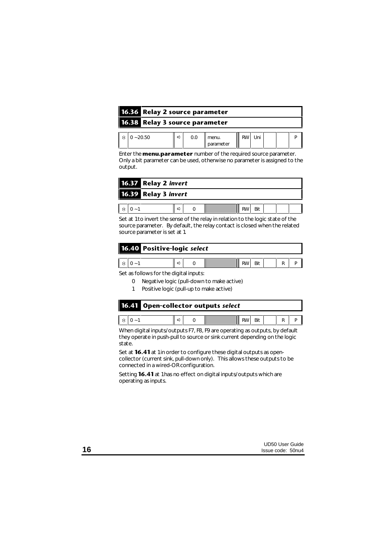| 16.36 Relay 2 source parameter |  |   |     |                    |  |     |  |  |  |  |  |
|--------------------------------|--|---|-----|--------------------|--|-----|--|--|--|--|--|
| 16.38 Relay 3 source parameter |  |   |     |                    |  |     |  |  |  |  |  |
| $0 - 20.50$                    |  | ⇨ | 0.0 | menu.<br>parameter |  | Uni |  |  |  |  |  |

Enter the **menu.parameter** number of the required source parameter. Only a bit parameter can be used, otherwise no parameter is assigned to the output.

| 16.37 Relay 2 invert |   |  |  |  |  |
|----------------------|---|--|--|--|--|
| 16.39 Relay 3 invert |   |  |  |  |  |
|                      |   |  |  |  |  |
|                      | ⋍ |  |  |  |  |

Set at 1 to invert the sense of the relay in relation to the logic state of the source parameter. By default, the relay contact is closed when the related source parameter is set at 1.

| 16.40 Positive-logic select |  |  |  |  |  |  |  |  |  |  |
|-----------------------------|--|--|--|--|--|--|--|--|--|--|
|                             |  |  |  |  |  |  |  |  |  |  |

Set as follows for the digital inputs:

- 0 Negative logic (pull-down to make active)
- 1 Positive logic (pull-up to make active)

|  |                 | <b>16.41</b> Open-collector outputs select |   |  |  |          |  |  |  |
|--|-----------------|--------------------------------------------|---|--|--|----------|--|--|--|
|  |                 |                                            |   |  |  |          |  |  |  |
|  | $\hat{v}$ 0 - 1 |                                            | ⇨ |  |  | RWBit RT |  |  |  |

When digital inputs/outputs F7, F8, F9 are operating as outputs, by default they operate in push-pull to source or sink current depending on the logic state.

Set at **16.41** at 1 in order to configure these digital outputs as opencollector (current sink, pull-down only). This allows these outputs to be connected in a wired-OR configuration.

Setting **16.41** at 1 has no effect on digital inputs/outputs which are operating as inputs.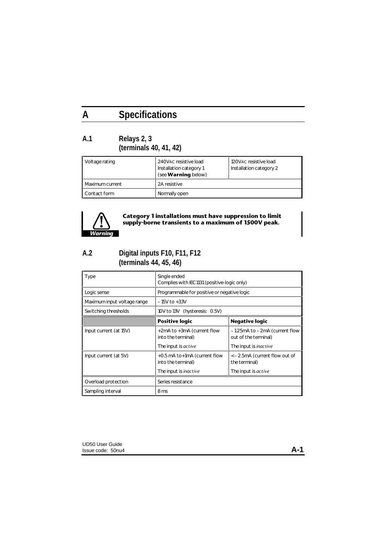# **A Specifications**

## **A.1 Relays 2, 3 (terminals 40, 41, 42)**

| Voltage rating  | 240VAC resistive load<br>Installation category 1<br>(see <b>Warning</b> below) | 120VAC resistive load<br>Installation category 2 |  |
|-----------------|--------------------------------------------------------------------------------|--------------------------------------------------|--|
| Maximum current | 2A resistive                                                                   |                                                  |  |
| Contact form    | Normally open                                                                  |                                                  |  |



## **Category 1 installations must have suppression to limit supply-borne transients to a maximum of 1500V peak.**

## **A.2 Digital inputs F10, F11, F12 (terminals 44, 45, 46)**

| Type                        | Single ended<br>Complies with IEC1131 (positive-logic only) |                                                       |  |  |
|-----------------------------|-------------------------------------------------------------|-------------------------------------------------------|--|--|
| Logic sense                 | Programmable for positive or negative logic                 |                                                       |  |  |
| Maximum input voltage range | $-15V$ to $+33V$                                            |                                                       |  |  |
| Switching thresholds        | 10V to 13V (hysteresis: 0.5V)                               |                                                       |  |  |
|                             | Positive logic                                              | <b>Negative logic</b>                                 |  |  |
| Input current (at 15V)      | +2mA to +3mA (current flow<br>into the terminal)            | -1.25mA to -2mA (current flow<br>out of the terminal) |  |  |
|                             | The input is <i>active</i>                                  | The input is <i>inactive</i>                          |  |  |
| Input current (at 5V)       | $+0.5$ mA to $+1$ mA (current flow<br>into the terminal)    | <-2.5mA (current flow out of<br>the terminal)         |  |  |
|                             | The input is <i>inactive</i>                                | The input is <i>active</i>                            |  |  |
| Overload protection         | Series resistance                                           |                                                       |  |  |
| Sampling interval           | 8 ms                                                        |                                                       |  |  |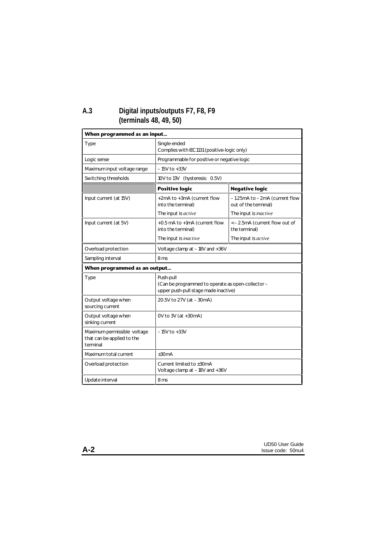## **A.3 Digital inputs/outputs F7, F8, F9 (terminals 48, 49, 50)**

| When programmed as an input                                           |                                                                                                        |                                                       |  |  |
|-----------------------------------------------------------------------|--------------------------------------------------------------------------------------------------------|-------------------------------------------------------|--|--|
| <b>Type</b>                                                           | Single-ended<br>Complies with IEC1131 (positive-logic only)                                            |                                                       |  |  |
| Logic sense                                                           | Programmable for positive or negative logic                                                            |                                                       |  |  |
| Maximum input voltage range                                           | $-15V$ to $+33V$                                                                                       |                                                       |  |  |
| Switching thresholds                                                  | 10V to 13V (hysteresis: 0.5V)                                                                          |                                                       |  |  |
|                                                                       | <b>Positive logic</b>                                                                                  | <b>Negative logic</b>                                 |  |  |
| Input current (at 15V)                                                | +2mA to +3mA (current flow<br>into the terminal)                                                       | -1.25mA to -2mA (current flow<br>out of the terminal) |  |  |
|                                                                       | The input is active                                                                                    | The input is <i>inactive</i>                          |  |  |
| Input current (at 5V)                                                 | +0.5 mA to +1mA (current flow<br>into the terminal)                                                    | <-2.5mA (current flow out of<br>the terminal)         |  |  |
|                                                                       | The input is <i>inactive</i>                                                                           | The input is active                                   |  |  |
| Overload protection                                                   | Voltage clamp at -18V and +36V                                                                         |                                                       |  |  |
| Sampling interval                                                     | 8 ms                                                                                                   |                                                       |  |  |
| When programmed as an output                                          |                                                                                                        |                                                       |  |  |
| Type                                                                  | Push-pull<br>(Can be programmed to operate as open-collector -<br>upper push-pull stage made inactive) |                                                       |  |  |
| Output voltage when<br>sourcing current                               | 20.5V to 27V (at -30mA)                                                                                |                                                       |  |  |
| Output voltage when<br>sinking current                                | OV to 3V (at +30mA)                                                                                    |                                                       |  |  |
| Maximum permissible voltage<br>that can be applied to the<br>terminal | $-15V$ to $+33V$                                                                                       |                                                       |  |  |
| Maximum total current                                                 | $\pm 30mA$                                                                                             |                                                       |  |  |
| Overload protection                                                   | Current limited to ±30mA<br>Voltage clamp at -18V and +36V                                             |                                                       |  |  |
| Update interval                                                       | 8 ms                                                                                                   |                                                       |  |  |